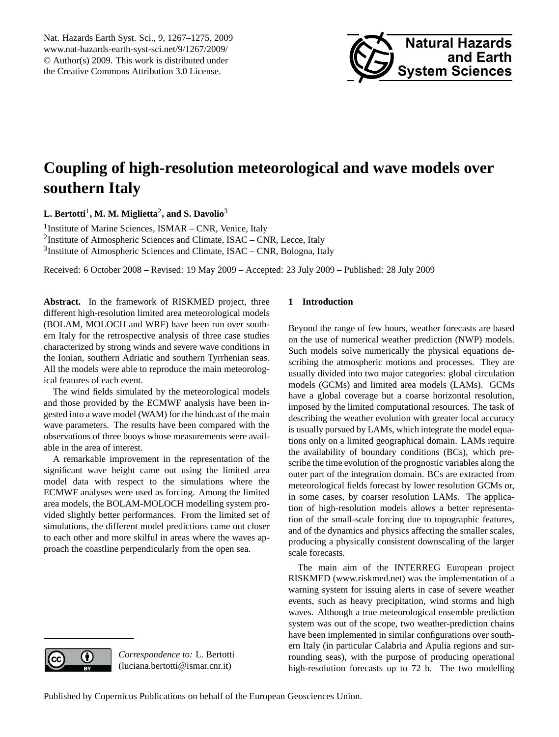<span id="page-0-0"></span>Nat. Hazards Earth Syst. Sci., 9, 1267–1275, 2009 www.nat-hazards-earth-syst-sci.net/9/1267/2009/ © Author(s) 2009. This work is distributed under the Creative Commons Attribution 3.0 License.



# **Coupling of high-resolution meteorological and wave models over southern Italy**

**L. Bertotti**<sup>1</sup> **, M. M. Miglietta**<sup>2</sup> **, and S. Davolio**<sup>3</sup>

<sup>1</sup> Institute of Marine Sciences, ISMAR - CNR, Venice, Italy <sup>2</sup> Institute of Atmospheric Sciences and Climate, ISAC – CNR, Lecce, Italy <sup>3</sup>Institute of Atmospheric Sciences and Climate, ISAC – CNR, Bologna, Italy

Received: 6 October 2008 – Revised: 19 May 2009 – Accepted: 23 July 2009 – Published: 28 July 2009

**Abstract.** In the framework of RISKMED project, three different high-resolution limited area meteorological models (BOLAM, MOLOCH and WRF) have been run over southern Italy for the retrospective analysis of three case studies characterized by strong winds and severe wave conditions in the Ionian, southern Adriatic and southern Tyrrhenian seas. All the models were able to reproduce the main meteorological features of each event.

The wind fields simulated by the meteorological models and those provided by the ECMWF analysis have been ingested into a wave model (WAM) for the hindcast of the main wave parameters. The results have been compared with the observations of three buoys whose measurements were available in the area of interest.

A remarkable improvement in the representation of the significant wave height came out using the limited area model data with respect to the simulations where the ECMWF analyses were used as forcing. Among the limited area models, the BOLAM-MOLOCH modelling system provided slightly better performances. From the limited set of simulations, the different model predictions came out closer to each other and more skilful in areas where the waves approach the coastline perpendicularly from the open sea.

## **1 Introduction**

Beyond the range of few hours, weather forecasts are based on the use of numerical weather prediction (NWP) models. Such models solve numerically the physical equations describing the atmospheric motions and processes. They are usually divided into two major categories: global circulation models (GCMs) and limited area models (LAMs). GCMs have a global coverage but a coarse horizontal resolution, imposed by the limited computational resources. The task of describing the weather evolution with greater local accuracy is usually pursued by LAMs, which integrate the model equations only on a limited geographical domain. LAMs require the availability of boundary conditions (BCs), which prescribe the time evolution of the prognostic variables along the outer part of the integration domain. BCs are extracted from meteorological fields forecast by lower resolution GCMs or, in some cases, by coarser resolution LAMs. The application of high-resolution models allows a better representation of the small-scale forcing due to topographic features, and of the dynamics and physics affecting the smaller scales, producing a physically consistent downscaling of the larger scale forecasts.

The main aim of the INTERREG European project RISKMED (www.riskmed.net) was the implementation of a warning system for issuing alerts in case of severe weather events, such as heavy precipitation, wind storms and high waves. Although a true meteorological ensemble prediction system was out of the scope, two weather-prediction chains have been implemented in similar configurations over southern Italy (in particular Calabria and Apulia regions and surrounding seas), with the purpose of producing operational high-resolution forecasts up to 72 h. The two modelling



*Correspondence to:* L. Bertotti (luciana.bertotti@ismar.cnr.it)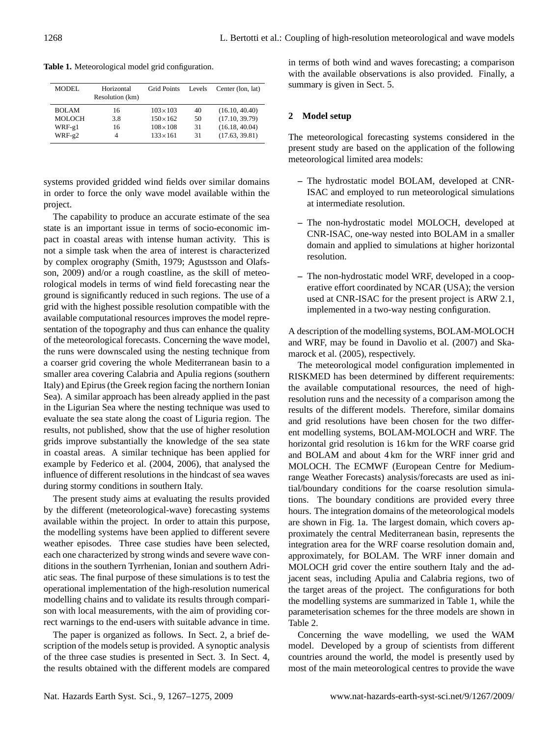| <b>MODEL</b> | Horizontal<br>Resolution (km) | <b>Grid Points</b> | Levels | Center (lon, lat) |
|--------------|-------------------------------|--------------------|--------|-------------------|
| <b>BOLAM</b> | 16                            | $103 \times 103$   | 40     | (16.10, 40.40)    |
| MOLOCH       | 3.8                           | $150 \times 162$   | 50     | (17.10, 39.79)    |
| $WRF-g1$     | 16                            | $108\times108$     | 31     | (16.18, 40.04)    |
| $WRF-g2$     |                               | $133 \times 161$   | 31     | (17.63, 39.81)    |

**Table 1.** Meteorological model grid configuration.

systems provided gridded wind fields over similar domains in order to force the only wave model available within the project.

The capability to produce an accurate estimate of the sea state is an important issue in terms of socio-economic impact in coastal areas with intense human activity. This is not a simple task when the area of interest is characterized by complex orography (Smith, 1979; Agustsson and Olafsson, 2009) and/or a rough coastline, as the skill of meteorological models in terms of wind field forecasting near the ground is significantly reduced in such regions. The use of a grid with the highest possible resolution compatible with the available computational resources improves the model representation of the topography and thus can enhance the quality of the meteorological forecasts. Concerning the wave model, the runs were downscaled using the nesting technique from a coarser grid covering the whole Mediterranean basin to a smaller area covering Calabria and Apulia regions (southern Italy) and Epirus (the Greek region facing the northern Ionian Sea). A similar approach has been already applied in the past in the Ligurian Sea where the nesting technique was used to evaluate the sea state along the coast of Liguria region. The results, not published, show that the use of higher resolution grids improve substantially the knowledge of the sea state in coastal areas. A similar technique has been applied for example by Federico et al. (2004, 2006), that analysed the influence of different resolutions in the hindcast of sea waves during stormy conditions in southern Italy.

The present study aims at evaluating the results provided by the different (meteorological-wave) forecasting systems available within the project. In order to attain this purpose, the modelling systems have been applied to different severe weather episodes. Three case studies have been selected, each one characterized by strong winds and severe wave conditions in the southern Tyrrhenian, Ionian and southern Adriatic seas. The final purpose of these simulations is to test the operational implementation of the high-resolution numerical modelling chains and to validate its results through comparison with local measurements, with the aim of providing correct warnings to the end-users with suitable advance in time.

The paper is organized as follows. In Sect. 2, a brief description of the models setup is provided. A synoptic analysis of the three case studies is presented in Sect. 3. In Sect. 4, the results obtained with the different models are compared in terms of both wind and waves forecasting; a comparison with the available observations is also provided. Finally, a summary is given in Sect. 5.

## **2 Model setup**

The meteorological forecasting systems considered in the present study are based on the application of the following meteorological limited area models:

- **–** The hydrostatic model BOLAM, developed at CNR-ISAC and employed to run meteorological simulations at intermediate resolution.
- **–** The non-hydrostatic model MOLOCH, developed at CNR-ISAC, one-way nested into BOLAM in a smaller domain and applied to simulations at higher horizontal resolution.
- **–** The non-hydrostatic model WRF, developed in a cooperative effort coordinated by NCAR (USA); the version used at CNR-ISAC for the present project is ARW 2.1, implemented in a two-way nesting configuration.

A description of the modelling systems, BOLAM-MOLOCH and WRF, may be found in Davolio et al. (2007) and Skamarock et al. (2005), respectively.

The meteorological model configuration implemented in RISKMED has been determined by different requirements: the available computational resources, the need of highresolution runs and the necessity of a comparison among the results of the different models. Therefore, similar domains and grid resolutions have been chosen for the two different modelling systems, BOLAM-MOLOCH and WRF. The horizontal grid resolution is 16 km for the WRF coarse grid and BOLAM and about 4 km for the WRF inner grid and MOLOCH. The ECMWF (European Centre for Mediumrange Weather Forecasts) analysis/forecasts are used as initial/boundary conditions for the coarse resolution simulations. The boundary conditions are provided every three hours. The integration domains of the meteorological models are shown in Fig. 1a. The largest domain, which covers approximately the central Mediterranean basin, represents the integration area for the WRF coarse resolution domain and, approximately, for BOLAM. The WRF inner domain and MOLOCH grid cover the entire southern Italy and the adjacent seas, including Apulia and Calabria regions, two of the target areas of the project. The configurations for both the modelling systems are summarized in Table 1, while the parameterisation schemes for the three models are shown in Table 2.

Concerning the wave modelling, we used the WAM model. Developed by a group of scientists from different countries around the world, the model is presently used by most of the main meteorological centres to provide the wave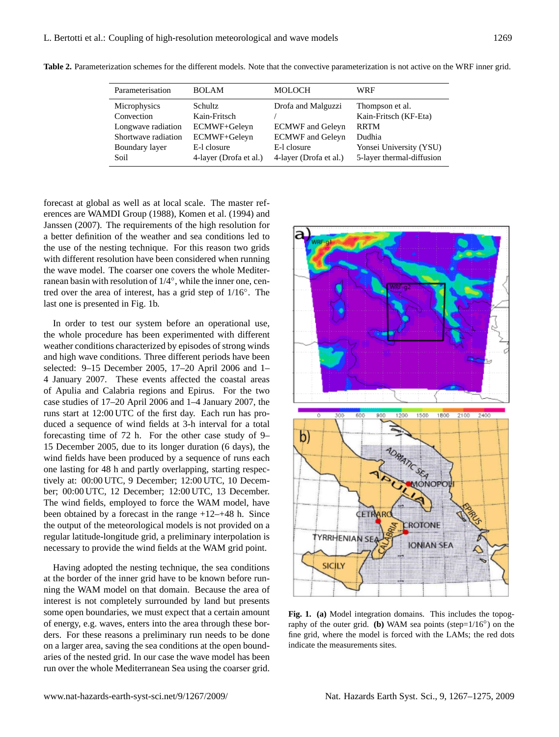| Microphysics<br>Drofa and Malguzzi<br><b>Schultz</b><br>Thompson et al.                                                                                                                                                                                                                                                     | <b>MOLOCH</b><br>WRF                                 | <b>BOLAM</b> | Parameterisation |
|-----------------------------------------------------------------------------------------------------------------------------------------------------------------------------------------------------------------------------------------------------------------------------------------------------------------------------|------------------------------------------------------|--------------|------------------|
| Kain-Fritsch (KF-Eta)<br>Convection<br>Kain-Fritsch<br>ECMWF+Geleyn<br><b>ECMWF</b> and Geleyn<br>Longwave radiation<br><b>RRTM</b><br><b>ECMWF</b> and Geleyn<br>ECMWF+Geleyn<br>Shortwave radiation<br>Dudhia<br>E-1 closure<br>Boundary layer<br>E-1 closure<br>4-layer (Drofa et al.)<br>4-layer (Drofa et al.)<br>Soil | Yonsei University (YSU)<br>5-layer thermal-diffusion |              |                  |

**Table 2.** Parameterization schemes for the different models. Note that the convective parameterization is not active on the WRF inner grid.

forecast at global as well as at local scale. The master references are WAMDI Group (1988), Komen et al. (1994) and Janssen (2007). The requirements of the high resolution for a better definition of the weather and sea conditions led to the use of the nesting technique. For this reason two grids with different resolution have been considered when running the wave model. The coarser one covers the whole Mediterranean basin with resolution of  $1/4^{\circ}$ , while the inner one, centred over the area of interest, has a grid step of 1/16◦ . The last one is presented in Fig. 1b.

In order to test our system before an operational use, the whole procedure has been experimented with different weather conditions characterized by episodes of strong winds and high wave conditions. Three different periods have been selected: 9–15 December 2005, 17–20 April 2006 and 1– 4 January 2007. These events affected the coastal areas of Apulia and Calabria regions and Epirus. For the two case studies of 17–20 April 2006 and 1–4 January 2007, the runs start at 12:00 UTC of the first day. Each run has produced a sequence of wind fields at 3-h interval for a total forecasting time of 72 h. For the other case study of 9– 15 December 2005, due to its longer duration (6 days), the wind fields have been produced by a sequence of runs each one lasting for 48 h and partly overlapping, starting respectively at: 00:00 UTC, 9 December; 12:00 UTC, 10 December; 00:00 UTC, 12 December; 12:00 UTC, 13 December. The wind fields, employed to force the WAM model, have been obtained by a forecast in the range +12–+48 h. Since the output of the meteorological models is not provided on a regular latitude-longitude grid, a preliminary interpolation is necessary to provide the wind fields at the WAM grid point.

Having adopted the nesting technique, the sea conditions at the border of the inner grid have to be known before running the WAM model on that domain. Because the area of interest is not completely surrounded by land but presents some open boundaries, we must expect that a certain amount of energy, e.g. waves, enters into the area through these borders. For these reasons a preliminary run needs to be done on a larger area, saving the sea conditions at the open boundaries of the nested grid. In our case the wave model has been run over the whole Mediterranean Sea using the coarser grid.



**Fig. 1. (a)** Model integration domains. This includes the topography of the outer grid. **(b)** WAM sea points (step= $1/16°$ ) on the fine grid, where the model is forced with the LAMs; the red dots indicate the measurements sites.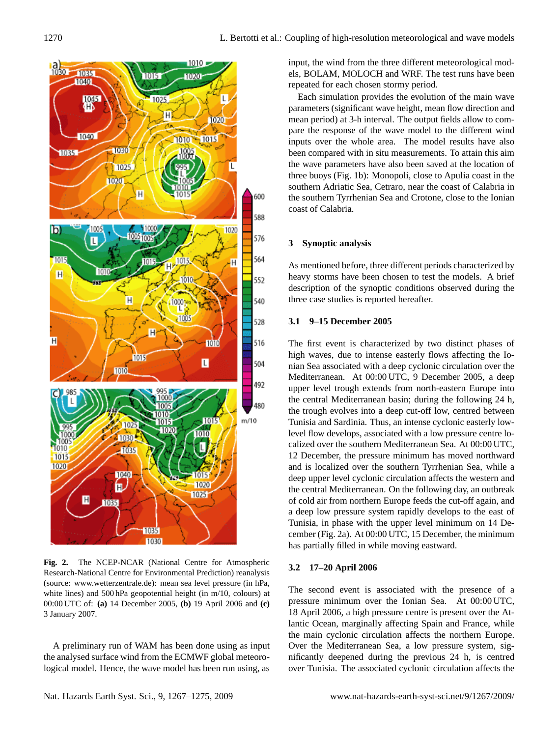

**Fig. 2.** The NCEP-NCAR (National Centre for Atmospheric Research-National Centre for Environmental Prediction) reanalysis (source: [www.wetterzentrale.de\)](www.wetterzentrale.de): mean sea level pressure (in hPa, white lines) and 500 hPa geopotential height (in m/10, colours) at 00:00 UTC of: **(a)** 14 December 2005, **(b)** 19 April 2006 and **(c)** 3 January 2007.

A preliminary run of WAM has been done using as input the analysed surface wind from the ECMWF global meteorological model. Hence, the wave model has been run using, as input, the wind from the three different meteorological models, BOLAM, MOLOCH and WRF. The test runs have been repeated for each chosen stormy period.

Each simulation provides the evolution of the main wave parameters (significant wave height, mean flow direction and mean period) at 3-h interval. The output fields allow to compare the response of the wave model to the different wind inputs over the whole area. The model results have also been compared with in situ measurements. To attain this aim the wave parameters have also been saved at the location of three buoys (Fig. 1b): Monopoli, close to Apulia coast in the southern Adriatic Sea, Cetraro, near the coast of Calabria in the southern Tyrrhenian Sea and Crotone, close to the Ionian coast of Calabria.

## **3 Synoptic analysis**

As mentioned before, three different periods characterized by heavy storms have been chosen to test the models. A brief description of the synoptic conditions observed during the three case studies is reported hereafter.

## **3.1 9–15 December 2005**

The first event is characterized by two distinct phases of high waves, due to intense easterly flows affecting the Ionian Sea associated with a deep cyclonic circulation over the Mediterranean. At 00:00 UTC, 9 December 2005, a deep upper level trough extends from north-eastern Europe into the central Mediterranean basin; during the following 24 h, the trough evolves into a deep cut-off low, centred between Tunisia and Sardinia. Thus, an intense cyclonic easterly lowlevel flow develops, associated with a low pressure centre localized over the southern Mediterranean Sea. At 00:00 UTC, 12 December, the pressure minimum has moved northward and is localized over the southern Tyrrhenian Sea, while a deep upper level cyclonic circulation affects the western and the central Mediterranean. On the following day, an outbreak of cold air from northern Europe feeds the cut-off again, and a deep low pressure system rapidly develops to the east of Tunisia, in phase with the upper level minimum on 14 December (Fig. 2a). At 00:00 UTC, 15 December, the minimum has partially filled in while moving eastward.

## **3.2 17–20 April 2006**

The second event is associated with the presence of a pressure minimum over the Ionian Sea. At 00:00 UTC, 18 April 2006, a high pressure centre is present over the Atlantic Ocean, marginally affecting Spain and France, while the main cyclonic circulation affects the northern Europe. Over the Mediterranean Sea, a low pressure system, significantly deepened during the previous 24 h, is centred over Tunisia. The associated cyclonic circulation affects the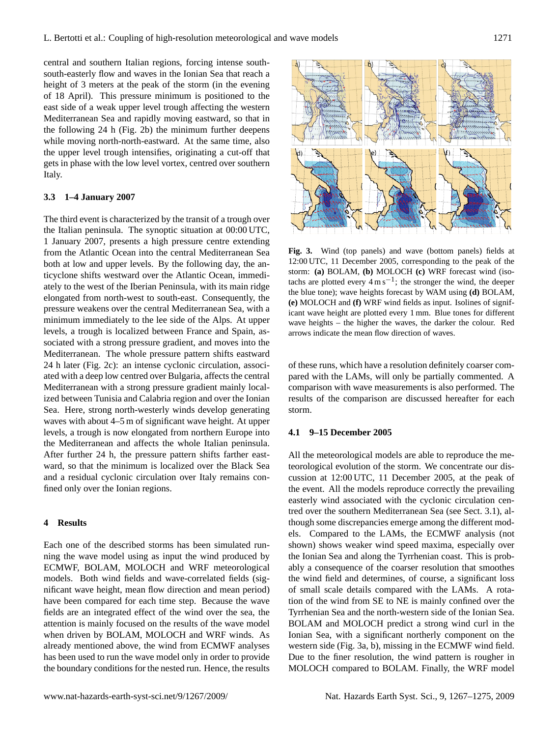central and southern Italian regions, forcing intense southsouth-easterly flow and waves in the Ionian Sea that reach a height of 3 meters at the peak of the storm (in the evening of 18 April). This pressure minimum is positioned to the east side of a weak upper level trough affecting the western Mediterranean Sea and rapidly moving eastward, so that in the following 24 h (Fig. 2b) the minimum further deepens while moving north-north-eastward. At the same time, also the upper level trough intensifies, originating a cut-off that gets in phase with the low level vortex, centred over southern Italy.

#### **3.3 1–4 January 2007**

The third event is characterized by the transit of a trough over the Italian peninsula. The synoptic situation at 00:00 UTC, 1 January 2007, presents a high pressure centre extending from the Atlantic Ocean into the central Mediterranean Sea both at low and upper levels. By the following day, the anticyclone shifts westward over the Atlantic Ocean, immediately to the west of the Iberian Peninsula, with its main ridge elongated from north-west to south-east. Consequently, the pressure weakens over the central Mediterranean Sea, with a minimum immediately to the lee side of the Alps. At upper levels, a trough is localized between France and Spain, associated with a strong pressure gradient, and moves into the Mediterranean. The whole pressure pattern shifts eastward 24 h later (Fig. 2c): an intense cyclonic circulation, associated with a deep low centred over Bulgaria, affects the central Mediterranean with a strong pressure gradient mainly localized between Tunisia and Calabria region and over the Ionian Sea. Here, strong north-westerly winds develop generating waves with about 4–5 m of significant wave height. At upper levels, a trough is now elongated from northern Europe into the Mediterranean and affects the whole Italian peninsula. After further 24 h, the pressure pattern shifts farther eastward, so that the minimum is localized over the Black Sea and a residual cyclonic circulation over Italy remains confined only over the Ionian regions.

## **4 Results**

Each one of the described storms has been simulated running the wave model using as input the wind produced by ECMWF, BOLAM, MOLOCH and WRF meteorological models. Both wind fields and wave-correlated fields (significant wave height, mean flow direction and mean period) have been compared for each time step. Because the wave fields are an integrated effect of the wind over the sea, the attention is mainly focused on the results of the wave model when driven by BOLAM, MOLOCH and WRF winds. As already mentioned above, the wind from ECMWF analyses has been used to run the wave model only in order to provide the boundary conditions for the nested run. Hence, the results



**Fig. 3.** Wind (top panels) and wave (bottom panels) fields at 12:00 UTC, 11 December 2005, corresponding to the peak of the storm: **(a)** BOLAM, **(b)** MOLOCH **(c)** WRF forecast wind (isotachs are plotted every  $4 \text{ m s}^{-1}$ ; the stronger the wind, the deeper the blue tone); wave heights forecast by WAM using **(d)** BOLAM, **(e)** MOLOCH and **(f)** WRF wind fields as input. Isolines of significant wave height are plotted every 1 mm. Blue tones for different wave heights – the higher the waves, the darker the colour. Red arrows indicate the mean flow direction of waves.

of these runs, which have a resolution definitely coarser compared with the LAMs, will only be partially commented. A comparison with wave measurements is also performed. The results of the comparison are discussed hereafter for each storm.

#### **4.1 9–15 December 2005**

All the meteorological models are able to reproduce the meteorological evolution of the storm. We concentrate our discussion at 12:00 UTC, 11 December 2005, at the peak of the event. All the models reproduce correctly the prevailing easterly wind associated with the cyclonic circulation centred over the southern Mediterranean Sea (see Sect. 3.1), although some discrepancies emerge among the different models. Compared to the LAMs, the ECMWF analysis (not shown) shows weaker wind speed maxima, especially over the Ionian Sea and along the Tyrrhenian coast. This is probably a consequence of the coarser resolution that smoothes the wind field and determines, of course, a significant loss of small scale details compared with the LAMs. A rotation of the wind from SE to NE is mainly confined over the Tyrrhenian Sea and the north-western side of the Ionian Sea. BOLAM and MOLOCH predict a strong wind curl in the Ionian Sea, with a significant northerly component on the western side (Fig. 3a, b), missing in the ECMWF wind field. Due to the finer resolution, the wind pattern is rougher in MOLOCH compared to BOLAM. Finally, the WRF model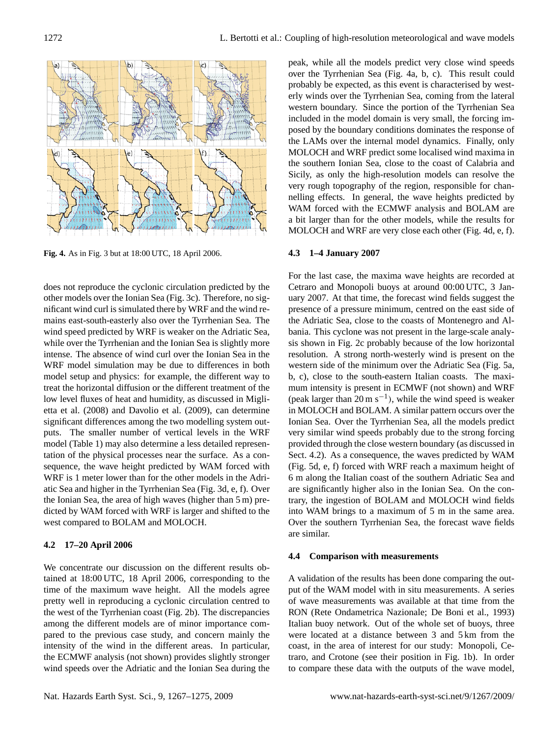

**Fig. 4.** As in Fig. 3 but at 18:00 UTC, 18 April 2006.

does not reproduce the cyclonic circulation predicted by the other models over the Ionian Sea (Fig. 3c). Therefore, no significant wind curl is simulated there by WRF and the wind remains east-south-easterly also over the Tyrrhenian Sea. The wind speed predicted by WRF is weaker on the Adriatic Sea, while over the Tyrrhenian and the Ionian Sea is slightly more intense. The absence of wind curl over the Ionian Sea in the WRF model simulation may be due to differences in both model setup and physics: for example, the different way to treat the horizontal diffusion or the different treatment of the low level fluxes of heat and humidity, as discussed in Miglietta et al. (2008) and Davolio et al. (2009), can determine significant differences among the two modelling system outputs. The smaller number of vertical levels in the WRF model (Table 1) may also determine a less detailed representation of the physical processes near the surface. As a consequence, the wave height predicted by WAM forced with WRF is 1 meter lower than for the other models in the Adriatic Sea and higher in the Tyrrhenian Sea (Fig. 3d, e, f). Over the Ionian Sea, the area of high waves (higher than 5 m) predicted by WAM forced with WRF is larger and shifted to the west compared to BOLAM and MOLOCH.

## **4.2 17–20 April 2006**

We concentrate our discussion on the different results obtained at 18:00 UTC, 18 April 2006, corresponding to the time of the maximum wave height. All the models agree pretty well in reproducing a cyclonic circulation centred to the west of the Tyrrhenian coast (Fig. 2b). The discrepancies among the different models are of minor importance compared to the previous case study, and concern mainly the intensity of the wind in the different areas. In particular, the ECMWF analysis (not shown) provides slightly stronger wind speeds over the Adriatic and the Ionian Sea during the peak, while all the models predict very close wind speeds over the Tyrrhenian Sea (Fig. 4a, b, c). This result could probably be expected, as this event is characterised by westerly winds over the Tyrrhenian Sea, coming from the lateral western boundary. Since the portion of the Tyrrhenian Sea included in the model domain is very small, the forcing imposed by the boundary conditions dominates the response of the LAMs over the internal model dynamics. Finally, only MOLOCH and WRF predict some localised wind maxima in the southern Ionian Sea, close to the coast of Calabria and Sicily, as only the high-resolution models can resolve the very rough topography of the region, responsible for channelling effects. In general, the wave heights predicted by WAM forced with the ECMWF analysis and BOLAM are a bit larger than for the other models, while the results for MOLOCH and WRF are very close each other (Fig. 4d, e, f).

## **4.3 1–4 January 2007**

For the last case, the maxima wave heights are recorded at Cetraro and Monopoli buoys at around 00:00 UTC, 3 January 2007. At that time, the forecast wind fields suggest the presence of a pressure minimum, centred on the east side of the Adriatic Sea, close to the coasts of Montenegro and Albania. This cyclone was not present in the large-scale analysis shown in Fig. 2c probably because of the low horizontal resolution. A strong north-westerly wind is present on the western side of the minimum over the Adriatic Sea (Fig. 5a, b, c), close to the south-eastern Italian coasts. The maximum intensity is present in ECMWF (not shown) and WRF (peak larger than  $20 \text{ m s}^{-1}$ ), while the wind speed is weaker in MOLOCH and BOLAM. A similar pattern occurs over the Ionian Sea. Over the Tyrrhenian Sea, all the models predict very similar wind speeds probably due to the strong forcing provided through the close western boundary (as discussed in Sect. 4.2). As a consequence, the waves predicted by WAM (Fig. 5d, e, f) forced with WRF reach a maximum height of 6 m along the Italian coast of the southern Adriatic Sea and are significantly higher also in the Ionian Sea. On the contrary, the ingestion of BOLAM and MOLOCH wind fields into WAM brings to a maximum of 5 m in the same area. Over the southern Tyrrhenian Sea, the forecast wave fields are similar.

#### **4.4 Comparison with measurements**

A validation of the results has been done comparing the output of the WAM model with in situ measurements. A series of wave measurements was available at that time from the RON (Rete Ondametrica Nazionale; De Boni et al., 1993) Italian buoy network. Out of the whole set of buoys, three were located at a distance between 3 and 5 km from the coast, in the area of interest for our study: Monopoli, Cetraro, and Crotone (see their position in Fig. 1b). In order to compare these data with the outputs of the wave model,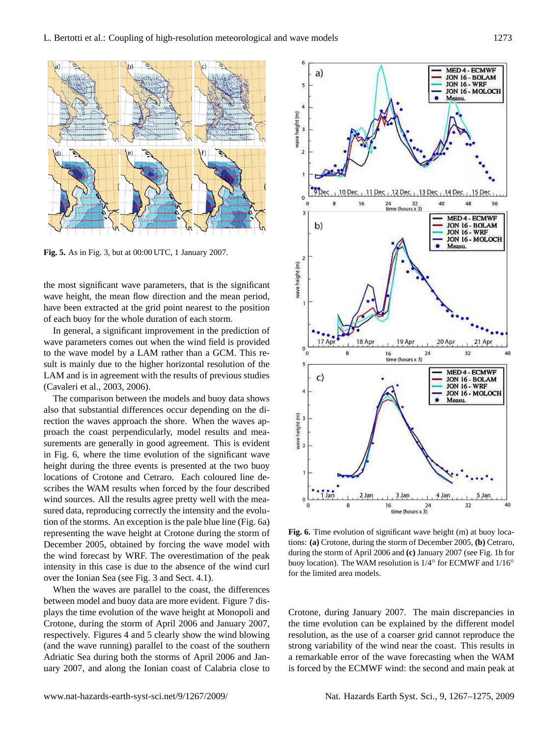

**Fig. 5.** As in Fig. 3, but at 00:00 UTC, 1 January 2007.

the most significant wave parameters, that is the significant wave height, the mean flow direction and the mean period, have been extracted at the grid point nearest to the position of each buoy for the whole duration of each storm.

In general, a significant improvement in the prediction of wave parameters comes out when the wind field is provided to the wave model by a LAM rather than a GCM. This result is mainly due to the higher horizontal resolution of the LAM and is in agreement with the results of previous studies (Cavaleri et al., 2003, 2006).

The comparison between the models and buoy data shows also that substantial differences occur depending on the direction the waves approach the shore. When the waves approach the coast perpendicularly, model results and measurements are generally in good agreement. This is evident in Fig. 6, where the time evolution of the significant wave height during the three events is presented at the two buoy locations of Crotone and Cetraro. Each coloured line describes the WAM results when forced by the four described wind sources. All the results agree pretty well with the measured data, reproducing correctly the intensity and the evolution of the storms. An exception is the pale blue line (Fig. 6a) representing the wave height at Crotone during the storm of December 2005, obtained by forcing the wave model with the wind forecast by WRF. The overestimation of the peak intensity in this case is due to the absence of the wind curl over the Ionian Sea (see Fig. 3 and Sect. 4.1).

When the waves are parallel to the coast, the differences between model and buoy data are more evident. Figure 7 displays the time evolution of the wave height at Monopoli and Crotone, during the storm of April 2006 and January 2007, respectively. Figures 4 and 5 clearly show the wind blowing (and the wave running) parallel to the coast of the southern Adriatic Sea during both the storms of April 2006 and January 2007, and along the Ionian coast of Calabria close to



**Fig. 6.** Time evolution of significant wave height (m) at buoy locations: **(a)** Crotone, during the storm of December 2005, **(b)** Cetraro, during the storm of April 2006 and **(c)** January 2007 (see Fig. 1b for buoy location). The WAM resolution is 1/4° for ECMWF and 1/16° for the limited area models.

Crotone, during January 2007. The main discrepancies in the time evolution can be explained by the different model resolution, as the use of a coarser grid cannot reproduce the strong variability of the wind near the coast. This results in a remarkable error of the wave forecasting when the WAM is forced by the ECMWF wind: the second and main peak at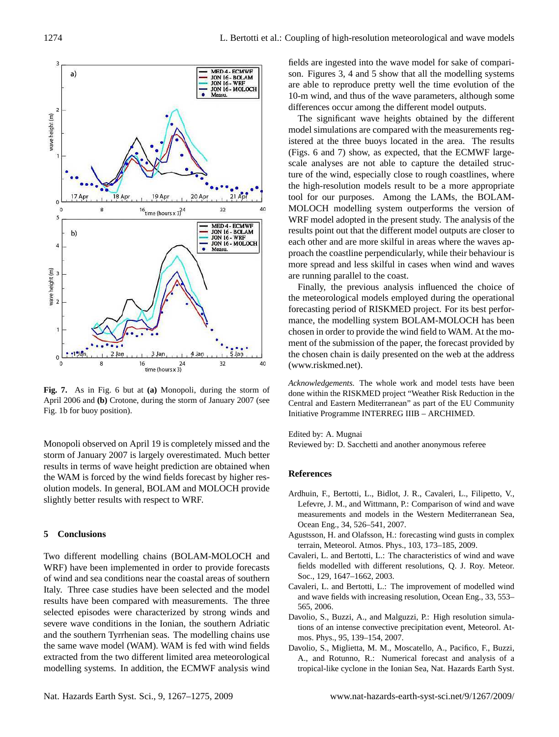

**Fig. 7.** As in Fig. 6 but at **(a)** Monopoli, during the storm of April 2006 and **(b)** Crotone, during the storm of January 2007 (see Fig. 1b for buoy position).

Monopoli observed on April 19 is completely missed and the storm of January 2007 is largely overestimated. Much better results in terms of wave height prediction are obtained when the WAM is forced by the wind fields forecast by higher resolution models. In general, BOLAM and MOLOCH provide slightly better results with respect to WRF.

## **5 Conclusions**

Two different modelling chains (BOLAM-MOLOCH and WRF) have been implemented in order to provide forecasts of wind and sea conditions near the coastal areas of southern Italy. Three case studies have been selected and the model results have been compared with measurements. The three selected episodes were characterized by strong winds and severe wave conditions in the Ionian, the southern Adriatic and the southern Tyrrhenian seas. The modelling chains use the same wave model (WAM). WAM is fed with wind fields extracted from the two different limited area meteorological modelling systems. In addition, the ECMWF analysis wind

fields are ingested into the wave model for sake of comparison. Figures 3, 4 and 5 show that all the modelling systems are able to reproduce pretty well the time evolution of the 10-m wind, and thus of the wave parameters, although some differences occur among the different model outputs.

The significant wave heights obtained by the different model simulations are compared with the measurements registered at the three buoys located in the area. The results (Figs. 6 and 7) show, as expected, that the ECMWF largescale analyses are not able to capture the detailed structure of the wind, especially close to rough coastlines, where the high-resolution models result to be a more appropriate tool for our purposes. Among the LAMs, the BOLAM-MOLOCH modelling system outperforms the version of WRF model adopted in the present study. The analysis of the results point out that the different model outputs are closer to each other and are more skilful in areas where the waves approach the coastline perpendicularly, while their behaviour is more spread and less skilful in cases when wind and waves are running parallel to the coast.

Finally, the previous analysis influenced the choice of the meteorological models employed during the operational forecasting period of RISKMED project. For its best performance, the modelling system BOLAM-MOLOCH has been chosen in order to provide the wind field to WAM. At the moment of the submission of the paper, the forecast provided by the chosen chain is daily presented on the web at the address [\(www.riskmed.net\)](www.riskmed.net).

*Acknowledgements.* The whole work and model tests have been done within the RISKMED project "Weather Risk Reduction in the Central and Eastern Mediterranean" as part of the EU Community Initiative Programme INTERREG IIIB – ARCHIMED.

Edited by: A. Mugnai

Reviewed by: D. Sacchetti and another anonymous referee

## **References**

- Ardhuin, F., Bertotti, L., Bidlot, J. R., Cavaleri, L., Filipetto, V., Lefevre, J. M., and Wittmann, P.: Comparison of wind and wave measurements and models in the Western Mediterranean Sea, Ocean Eng., 34, 526–541, 2007.
- Agustsson, H. and Olafsson, H.: forecasting wind gusts in complex terrain, Meteorol. Atmos. Phys., 103, 173–185, 2009.
- Cavaleri, L. and Bertotti, L.: The characteristics of wind and wave fields modelled with different resolutions, Q. J. Roy. Meteor. Soc., 129, 1647–1662, 2003.
- Cavaleri, L. and Bertotti, L.: The improvement of modelled wind and wave fields with increasing resolution, Ocean Eng., 33, 553– 565, 2006.
- Davolio, S., Buzzi, A., and Malguzzi, P.: High resolution simulations of an intense convective precipitation event, Meteorol. Atmos. Phys., 95, 139–154, 2007.
- Davolio, S., Miglietta, M. M., Moscatello, A., Pacifico, F., Buzzi, A., and Rotunno, R.: Numerical forecast and analysis of a tropical-like cyclone in the Ionian Sea, Nat. Hazards Earth Syst.